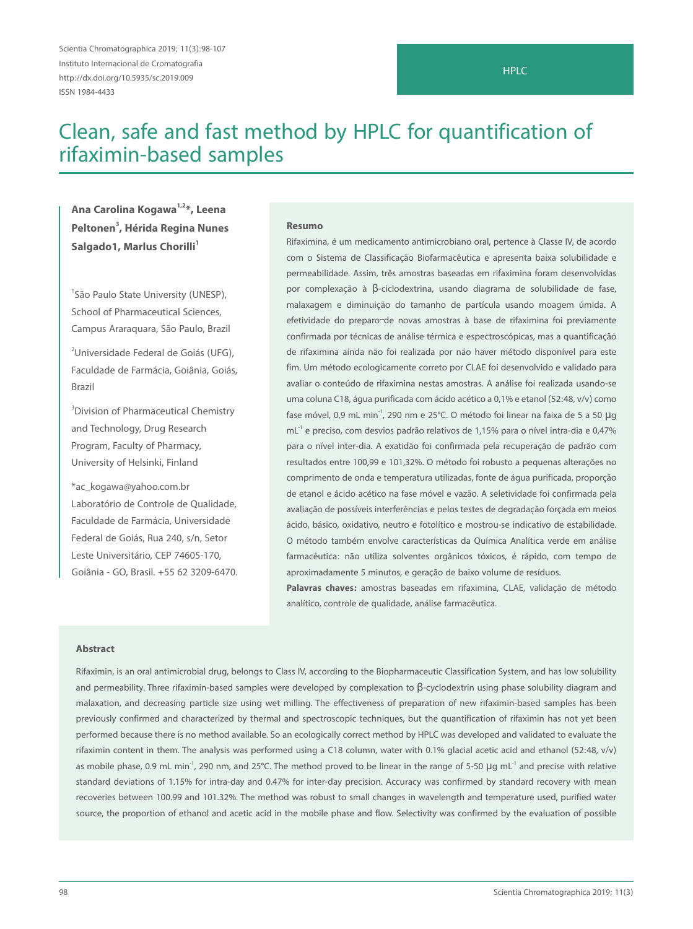Scientia Chromatographica 2019; 11(3):98-107 Instituto Internacional de Cromatografia http://dx.doi.org/10.5935/sc.2019.009 ISSN 1984-4433

# Clean, safe and fast method by HPLC for quantification of rifaximin-based samples

**Ana Carolina Kogawa1,2\*, Leena Peltonen3 , Hérida Regina Nunes**  Salgado1, Marlus Chorilli<sup>1</sup>

1 São Paulo State University (UNESP), School of Pharmaceutical Sciences, Campus Araraquara, São Paulo, Brazil

<sup>2</sup>Universidade Federal de Goiás (UFG), Faculdade de Farmácia, Goiânia, Goiás, Brazil

3 Division of Pharmaceutical Chemistry and Technology, Drug Research Program, Faculty of Pharmacy, University of Helsinki, Finland

\*ac\_kogawa@yahoo.com.br Laboratório de Controle de Qualidade, Faculdade de Farmácia, Universidade Federal de Goiás, Rua 240, s/n, Setor Leste Universitário, CEP 74605-170, Goiânia - GO, Brasil. +55 62 3209-6470.

#### **Resumo**

Rifaximina, é um medicamento antimicrobiano oral, pertence à Classe IV, de acordo com o Sistema de Classificação Biofarmacêutica e apresenta baixa solubilidade e permeabilidade. Assim, três amostras baseadas em rifaximina foram desenvolvidas por complexação à β-ciclodextrina, usando diagrama de solubilidade de fase, malaxagem e diminuição do tamanho de partícula usando moagem úmida. A efetividade do preparo-de novas amostras à base de rifaximina foi previamente confirmada por técnicas de análise térmica e espectroscópicas, mas a quantificação de rifaximina ainda não foi realizada por não haver método disponível para este fim. Um método ecologicamente correto por CLAE foi desenvolvido e validado para avaliar o conteúdo de rifaximina nestas amostras. A análise foi realizada usando-se uma coluna C18, água purificada com ácido acético a 0,1% e etanol (52:48, v/v) como fase móvel, 0,9 mL min<sup>-1</sup>, 290 nm e 25°C. O método foi linear na faixa de 5 a 50 µg  $mL<sup>-1</sup>$  e preciso, com desvios padrão relativos de 1,15% para o nível intra-dia e 0,47% para o nível inter-dia. A exatidão foi confirmada pela recuperação de padrão com resultados entre 100,99 e 101,32%. O método foi robusto a pequenas alterações no comprimento de onda e temperatura utilizadas, fonte de água purificada, proporção de etanol e ácido acético na fase móvel e vazão. A seletividade foi confirmada pela avaliação de possíveis interferências e pelos testes de degradação forçada em meios ácido, básico, oxidativo, neutro e fotolítico e mostrou-se indicativo de estabilidade. O método também envolve características da Química Analítica verde em análise farmacêutica: não utiliza solventes orgânicos tóxicos, é rápido, com tempo de aproximadamente 5 minutos, e geração de baixo volume de resíduos.

**Palavras chaves:** amostras baseadas em rifaximina, CLAE, validação de método analítico, controle de qualidade, análise farmacêutica.

#### **Abstract**

Rifaximin, is an oral antimicrobial drug, belongs to Class IV, according to the Biopharmaceutic Classification System, and has low solubility and permeability. Three rifaximin-based samples were developed by complexation to β-cyclodextrin using phase solubility diagram and malaxation, and decreasing particle size using wet milling. The effectiveness of preparation of new rifaximin-based samples has been previously confirmed and characterized by thermal and spectroscopic techniques, but the quantification of rifaximin has not yet been performed because there is no method available. So an ecologically correct method by HPLC was developed and validated to evaluate the rifaximin content in them. The analysis was performed using a C18 column, water with 0.1% glacial acetic acid and ethanol (52:48, v/v) as mobile phase, 0.9 mL min<sup>-1</sup>, 290 nm, and 25°C. The method proved to be linear in the range of 5-50 μg mL<sup>-1</sup> and precise with relative standard deviations of 1.15% for intra-day and 0.47% for inter-day precision. Accuracy was confirmed by standard recovery with mean recoveries between 100.99 and 101.32%. The method was robust to small changes in wavelength and temperature used, purified water source, the proportion of ethanol and acetic acid in the mobile phase and flow. Selectivity was confirmed by the evaluation of possible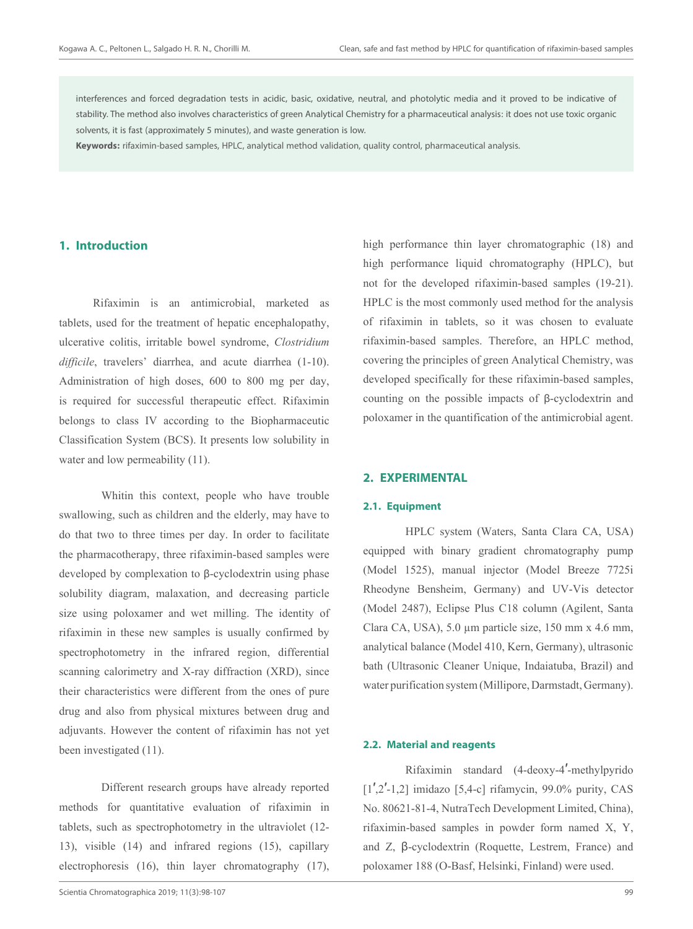interferences and forced degradation tests in acidic, basic, oxidative, neutral, and photolytic media and it proved to be indicative of stability. The method also involves characteristics of green Analytical Chemistry for a pharmaceutical analysis: it does not use toxic organic solvents, it is fast (approximately 5 minutes), and waste generation is low.

**Keywords:** rifaximin-based samples, HPLC, analytical method validation, quality control, pharmaceutical analysis.

# **1. Introduction**

Rifaximin is an antimicrobial, marketed as tablets, used for the treatment of hepatic encephalopathy, ulcerative colitis, irritable bowel syndrome, *Clostridium difficile*, travelers' diarrhea, and acute diarrhea (1-10). Administration of high doses, 600 to 800 mg per day, is required for successful therapeutic effect. Rifaximin belongs to class IV according to the Biopharmaceutic Classification System (BCS). It presents low solubility in water and low permeability  $(11)$ .

Whitin this context, people who have trouble swallowing, such as children and the elderly, may have to do that two to three times per day. In order to facilitate the pharmacotherapy, three rifaximin-based samples were developed by complexation to β-cyclodextrin using phase solubility diagram, malaxation, and decreasing particle size using poloxamer and wet milling. The identity of rifaximin in these new samples is usually confirmed by spectrophotometry in the infrared region, differential scanning calorimetry and X-ray diffraction (XRD), since their characteristics were different from the ones of pure drug and also from physical mixtures between drug and adjuvants. However the content of rifaximin has not yet been investigated (11).

Different research groups have already reported methods for quantitative evaluation of rifaximin in tablets, such as spectrophotometry in the ultraviolet (12- 13), visible (14) and infrared regions (15), capillary electrophoresis (16), thin layer chromatography (17),

high performance thin layer chromatographic (18) and high performance liquid chromatography (HPLC), but not for the developed rifaximin-based samples (19-21). HPLC is the most commonly used method for the analysis of rifaximin in tablets, so it was chosen to evaluate rifaximin-based samples. Therefore, an HPLC method, covering the principles of green Analytical Chemistry, was developed specifically for these rifaximin-based samples, counting on the possible impacts of β-cyclodextrin and poloxamer in the quantification of the antimicrobial agent.

# **2. EXPERIMENTAL**

# **2.1. Equipment**

HPLC system (Waters, Santa Clara CA, USA) equipped with binary gradient chromatography pump (Model 1525), manual injector (Model Breeze 7725i Rheodyne Bensheim, Germany) and UV-Vis detector (Model 2487), Eclipse Plus C18 column (Agilent, Santa Clara CA, USA), 5.0 μm particle size, 150 mm x 4.6 mm, analytical balance (Model 410, Kern, Germany), ultrasonic bath (Ultrasonic Cleaner Unique, Indaiatuba, Brazil) and water purification system (Millipore, Darmstadt, Germany).

### **2.2. Material and reagents**

Rifaximin standard (4-deoxy-4′-methylpyrido  $[1',2'-1,2]$  imidazo [5,4-c] rifamycin, 99.0% purity, CAS No. 80621-81-4, NutraTech Development Limited, China), rifaximin-based samples in powder form named X, Y, and Z, β-cyclodextrin (Roquette, Lestrem, France) and poloxamer 188 (O-Basf, Helsinki, Finland) were used.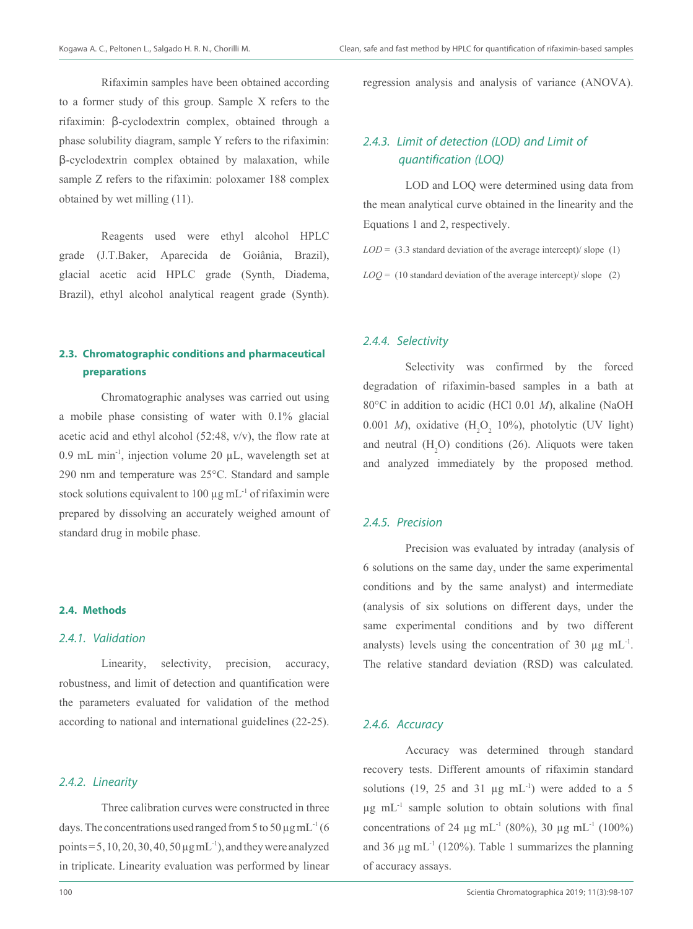Rifaximin samples have been obtained according to a former study of this group. Sample X refers to the rifaximin: β-cyclodextrin complex, obtained through a phase solubility diagram, sample Y refers to the rifaximin: β-cyclodextrin complex obtained by malaxation, while sample Z refers to the rifaximin: poloxamer 188 complex obtained by wet milling (11).

Reagents used were ethyl alcohol HPLC grade (J.T.Baker, Aparecida de Goiânia, Brazil), glacial acetic acid HPLC grade (Synth, Diadema, Brazil), ethyl alcohol analytical reagent grade (Synth).

# **2.3. Chromatographic conditions and pharmaceutical preparations**

Chromatographic analyses was carried out using a mobile phase consisting of water with 0.1% glacial acetic acid and ethyl alcohol (52:48, v/v), the flow rate at 0.9 mL min<sup>-1</sup>, injection volume 20  $\mu$ L, wavelength set at 290 nm and temperature was 25°C. Standard and sample stock solutions equivalent to 100  $\mu$ g mL<sup>-1</sup> of rifaximin were prepared by dissolving an accurately weighed amount of standard drug in mobile phase.

#### **2.4. Methods**

#### 2.4.1. Validation

Linearity, selectivity, precision, accuracy, robustness, and limit of detection and quantification were the parameters evaluated for validation of the method according to national and international guidelines (22-25).

# 2.4.2. Linearity

Three calibration curves were constructed in three days. The concentrations used ranged from 5 to 50  $\mu$ g mL<sup>-1</sup> (6) points =  $5$ , 10, 20, 30, 40,  $50 \mu g$  mL<sup>-1</sup>), and they were analyzed in triplicate. Linearity evaluation was performed by linear

regression analysis and analysis of variance (ANOVA).

# 2.4.3. Limit of detection (LOD) and Limit of quantification (LOQ)

LOD and LOQ were determined using data from the mean analytical curve obtained in the linearity and the Equations 1 and 2, respectively.

 $LOD = (3.3$  standard deviation of the average intercept)/ slope  $(1)$ 

 $LOQ = (10 \text{ standard deviation of the average intercept})/\text{slope}$  (2)

#### 2.4.4. Selectivity

Selectivity was confirmed by the forced degradation of rifaximin-based samples in a bath at 80°C in addition to acidic (HCl 0.01 *M*), alkaline (NaOH 0.001 *M*), oxidative  $(H_2O_2 10\%)$ , photolytic (UV light) and neutral  $(H_2O)$  conditions (26). Aliquots were taken and analyzed immediately by the proposed method.

# 2.4.5. Precision

Precision was evaluated by intraday (analysis of 6 solutions on the same day, under the same experimental conditions and by the same analyst) and intermediate (analysis of six solutions on different days, under the same experimental conditions and by two different analysts) levels using the concentration of 30  $\mu$ g mL<sup>-1</sup>. The relative standard deviation (RSD) was calculated.

### 2.4.6. Accuracy

Accuracy was determined through standard recovery tests. Different amounts of rifaximin standard solutions (19, 25 and 31  $\mu$ g mL<sup>-1</sup>) were added to a 5  $\mu$ g mL<sup>-1</sup> sample solution to obtain solutions with final concentrations of 24 μg mL<sup>-1</sup> (80%), 30 μg mL<sup>-1</sup> (100%) and 36  $\mu$ g mL<sup>-1</sup> (120%). Table 1 summarizes the planning of accuracy assays.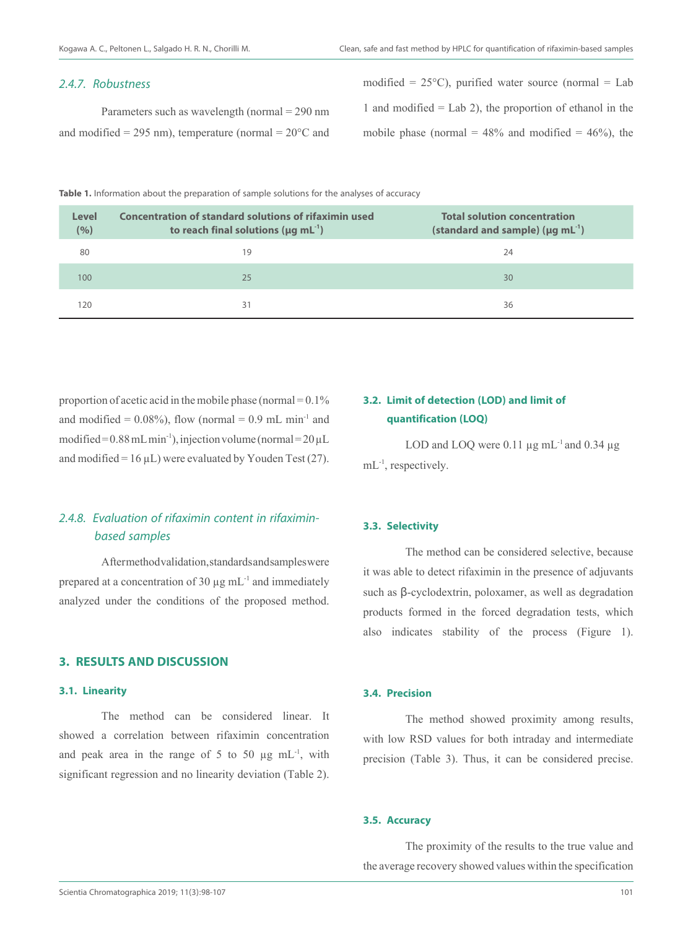### 2.4.7. Robustness

Parameters such as wavelength (normal = 290 nm and modified = 295 nm), temperature (normal =  $20^{\circ}$ C and modified =  $25^{\circ}$ C), purified water source (normal = Lab 1 and modified  $=$  Lab 2), the proportion of ethanol in the mobile phase (normal =  $48\%$  and modified =  $46\%$ ), the

Table 1. Information about the preparation of sample solutions for the analyses of accuracy

| Level<br>(%) | Concentration of standard solutions of rifaximin used<br>to reach final solutions ( $\mu$ g mL <sup>-1</sup> ) | <b>Total solution concentration</b><br>(standard and sample) ( $\mu$ g mL <sup>-1</sup> ) |
|--------------|----------------------------------------------------------------------------------------------------------------|-------------------------------------------------------------------------------------------|
| 80           | 19                                                                                                             | 24                                                                                        |
| 100          | 25                                                                                                             | 30                                                                                        |
| 120          | 31                                                                                                             | 36                                                                                        |

proportion of acetic acid in the mobile phase (normal  $= 0.1\%$ and modified =  $0.08\%$ ), flow (normal = 0.9 mL min<sup>-1</sup> and modified =  $0.88$  mL min<sup>-1</sup>), injection volume (normal =  $20 \mu L$ and modified =  $16 \mu L$ ) were evaluated by Youden Test (27).

# 2.4.8. Evaluation of rifaximin content in rifaximinbased samples

After method validation, standards and samples were prepared at a concentration of 30  $\mu$ g mL<sup>-1</sup> and immediately analyzed under the conditions of the proposed method.

#### **3. RESULTS AND DISCUSSION**

### **3.1. Linearity**

The method can be considered linear. It showed a correlation between rifaximin concentration and peak area in the range of 5 to 50  $\mu$ g mL<sup>-1</sup>, with significant regression and no linearity deviation (Table 2).

# **3.2. Limit of detection (LOD) and limit of quantification (LOQ)**

LOD and LOQ were  $0.11 \mu$ g mL<sup>-1</sup> and  $0.34 \mu$ g mL<sup>-1</sup>, respectively.

#### **3.3. Selectivity**

The method can be considered selective, because it was able to detect rifaximin in the presence of adjuvants such as β-cyclodextrin, poloxamer, as well as degradation products formed in the forced degradation tests, which also indicates stability of the process (Figure 1).

# **3.4. Precision**

The method showed proximity among results, with low RSD values for both intraday and intermediate precision (Table 3). Thus, it can be considered precise.

### **3.5. Accuracy**

The proximity of the results to the true value and the average recovery showed values within the specification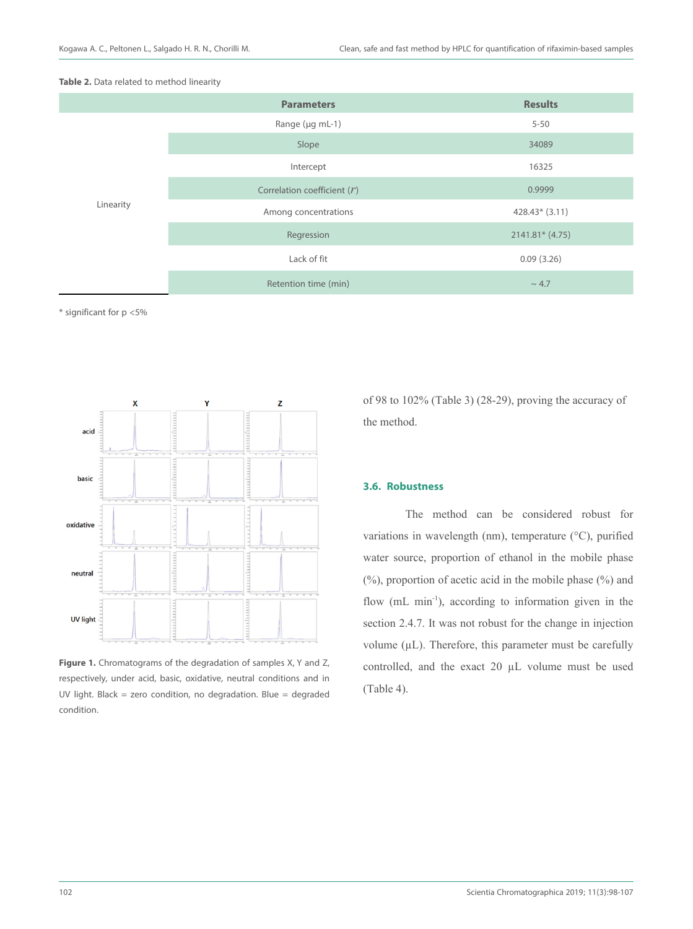



\* significant for p <5%



**Figure 1.** Chromatograms of the degradation of samples X, Y and Z, respectively, under acid, basic, oxidative, neutral conditions and in UV light. Black = zero condition, no degradation. Blue = degraded condition.

of 98 to 102% (Table 3) (28-29), proving the accuracy of the method.

#### **3.6. Robustness**

The method can be considered robust for variations in wavelength (nm), temperature (°C), purified water source, proportion of ethanol in the mobile phase (%), proportion of acetic acid in the mobile phase (%) and flow (mL min<sup>-1</sup>), according to information given in the section 2.4.7. It was not robust for the change in injection volume  $(\mu L)$ . Therefore, this parameter must be carefully controlled, and the exact 20 µL volume must be used (Table 4).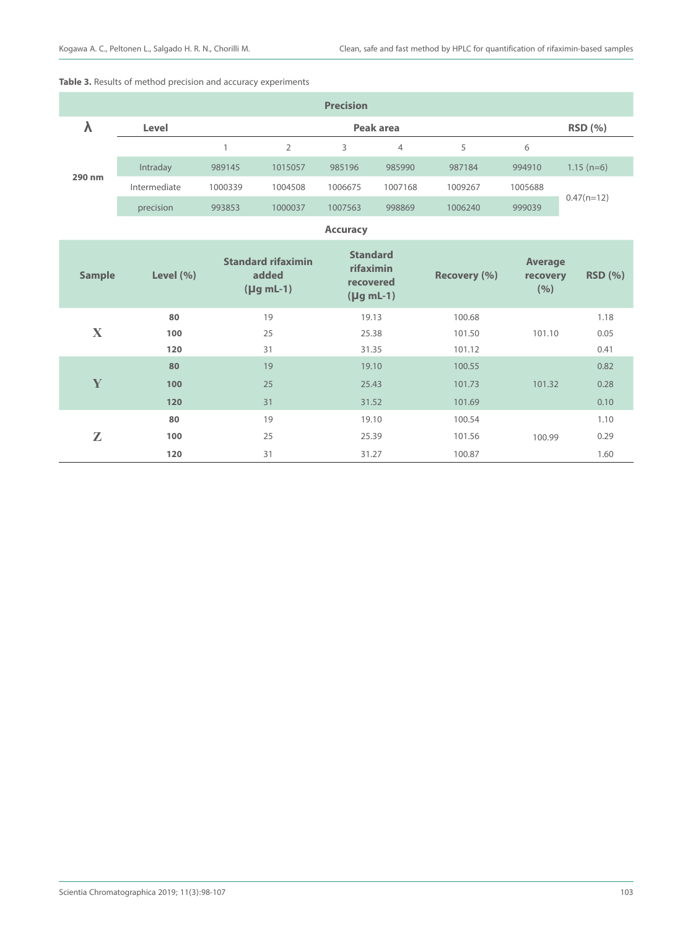# **Table 3.** Results of method precision and accuracy experiments

| <b>Precision</b> |              |           |         |         |         |         |         |              |  |
|------------------|--------------|-----------|---------|---------|---------|---------|---------|--------------|--|
|                  | Level        | Peak area |         |         |         |         |         |              |  |
| 290 nm           |              |           |         | 3       | 4       | 5       | 6       |              |  |
|                  | Intraday     | 989145    | 1015057 | 985196  | 985990  | 987184  | 994910  | $1.15$ (n=6) |  |
|                  | Intermediate | 1000339   | 1004508 | 1006675 | 1007168 | 1009267 | 1005688 |              |  |
|                  | precision    | 993853    | 1000037 | 1007563 | 998869  | 1006240 | 999039  | $0.47(n=12)$ |  |

#### **Accuracy**

| <b>Sample</b> | Level $(\% )$ | <b>Standard rifaximin</b><br>added<br>$($   $\mu$ g mL-1) | <b>Standard</b><br>rifaximin<br>recovered<br>$($   $\mu$ g mL-1 $)$ | Recovery (%) | <b>Average</b><br>recovery<br>(%) | <b>RSD</b> (%) |
|---------------|---------------|-----------------------------------------------------------|---------------------------------------------------------------------|--------------|-----------------------------------|----------------|
|               | 80            | 19                                                        | 19.13                                                               | 100.68       |                                   | 1.18           |
| X             | 100           | 25                                                        | 25.38                                                               | 101.50       | 101.10                            | 0.05           |
|               | 120           | 31                                                        | 31.35                                                               | 101.12       |                                   | 0.41           |
|               | 80            | 19                                                        | 19.10                                                               | 100.55       |                                   | 0.82           |
| Y             | 100           | 25                                                        | 25.43                                                               | 101.73       | 101.32                            | 0.28           |
|               | 120           | 31                                                        | 31.52                                                               | 101.69       |                                   | 0.10           |
|               | 80            | 19                                                        | 19.10                                                               | 100.54       |                                   | 1.10           |
| Z             | 100           | 25                                                        | 25.39                                                               | 101.56       | 100.99                            | 0.29           |
|               | 120           | 31                                                        | 31.27                                                               | 100.87       |                                   | 1.60           |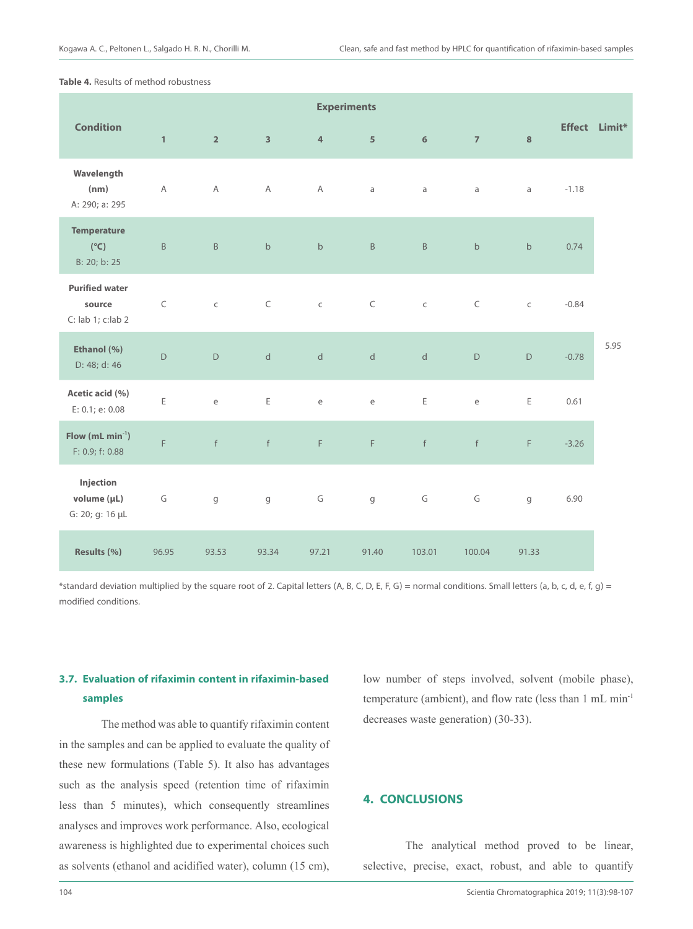**Table 4.** Results of method robustness

|                                                       | <b>Experiments</b> |                                   |                         |                |                                   |              |                |             |               |      |
|-------------------------------------------------------|--------------------|-----------------------------------|-------------------------|----------------|-----------------------------------|--------------|----------------|-------------|---------------|------|
| <b>Condition</b>                                      | $\mathbf{1}$       | $\overline{2}$                    | $\overline{\mathbf{3}}$ | $\overline{4}$ | 5                                 | 6            | $\overline{7}$ | $\bf{8}$    | Effect Limit* |      |
| Wavelength<br>(nm)<br>A: 290; a: 295                  | $\mathsf{A}$       | $\mathsf A$                       | A                       | A              | a                                 | $\mathsf{a}$ | a              | a           | $-1.18$       |      |
| <b>Temperature</b><br>$(^{\circ}C)$<br>B: 20; b: 25   | $\sf B$            | $\sf B$                           | $\mathsf b$             | $\mathsf b$    | $\mathsf B$                       | $\sf B$      | $\mathsf b$    | $\mathsf b$ | 0.74          |      |
| <b>Purified water</b><br>source<br>C: lab 1; c: lab 2 | $\subset$          | $\mathsf C$                       | $\subset$               | $\subset$      | $\subset$                         | $\mathsf C$  | $\subset$      | $\mathsf C$ | $-0.84$       |      |
| Ethanol (%)<br>D: 48; d: 46                           | $\mathsf D$        | $\mathsf D$                       | $\mathsf{d}$            | $\mathsf{d}$   | $\mathsf{d}$                      | $\mathsf{d}$ | $\mathsf D$    | $\mathsf D$ | $-0.78$       | 5.95 |
| Acetic acid (%)<br>E: 0.1; e: 0.08                    | E                  | $\mathsf{e}% _{t}\left( t\right)$ | E                       | e              | $\mathsf{e}% _{t}\left( t\right)$ | $\mathsf E$  | e              | Ε           | 0.61          |      |
| Flow ( $mL min-1$ )<br>F: 0.9; f: 0.88                | F                  | f                                 | $\mathsf f$             | F.             | F.                                | f            | f              | F           | $-3.26$       |      |
| Injection<br>volume (µL)<br>G: 20; g: 16 µL           | G                  | $\mathsf g$                       | g                       | G              | $\mathsf g$                       | G            | G              | g           | 6.90          |      |
| Results (%)                                           | 96.95              | 93.53                             | 93.34                   | 97.21          | 91.40                             | 103.01       | 100.04         | 91.33       |               |      |

\*standard deviation multiplied by the square root of 2. Capital letters (A, B, C, D, E, F, G) = normal conditions. Small letters (a, b, c, d, e, f, g) = modified conditions.

# **3.7. Evaluation of rifaximin content in rifaximin-based samples**

The method was able to quantify rifaximin content in the samples and can be applied to evaluate the quality of these new formulations (Table 5). It also has advantages such as the analysis speed (retention time of rifaximin less than 5 minutes), which consequently streamlines analyses and improves work performance. Also, ecological awareness is highlighted due to experimental choices such as solvents (ethanol and acidified water), column (15 cm), low number of steps involved, solvent (mobile phase), temperature (ambient), and flow rate (less than 1 mL min-1 decreases waste generation) (30-33).

# **4. CONCLUSIONS**

The analytical method proved to be linear, selective, precise, exact, robust, and able to quantify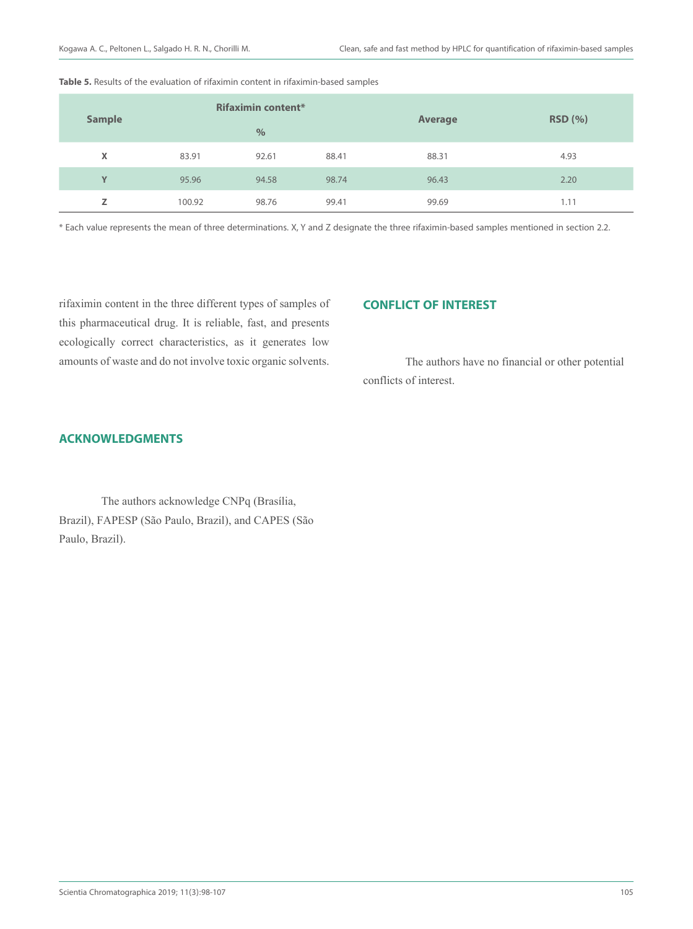| <b>Sample</b> |        | <b>Rifaximin content*</b> |       | <b>Average</b> | RSD(%) |  |
|---------------|--------|---------------------------|-------|----------------|--------|--|
|               |        | $\frac{0}{0}$             |       |                |        |  |
| X             | 83.91  | 92.61                     | 88.41 | 88.31          | 4.93   |  |
| Y             | 95.96  | 94.58                     | 98.74 | 96.43          | 2.20   |  |
| z             | 100.92 | 98.76                     | 99.41 | 99.69          | 1.11   |  |

**Table 5.** Results of the evaluation of rifaximin content in rifaximin-based samples

\* Each value represents the mean of three determinations. X, Y and Z designate the three rifaximin-based samples mentioned in section 2.2.

rifaximin content in the three different types of samples of this pharmaceutical drug. It is reliable, fast, and presents ecologically correct characteristics, as it generates low amounts of waste and do not involve toxic organic solvents.

# **CONFLICT OF INTEREST**

The authors have no financial or other potential conflicts of interest.

# **ACKNOWLEDGMENTS**

The authors acknowledge CNPq (Brasília, Brazil), FAPESP (São Paulo, Brazil), and CAPES (São Paulo, Brazil).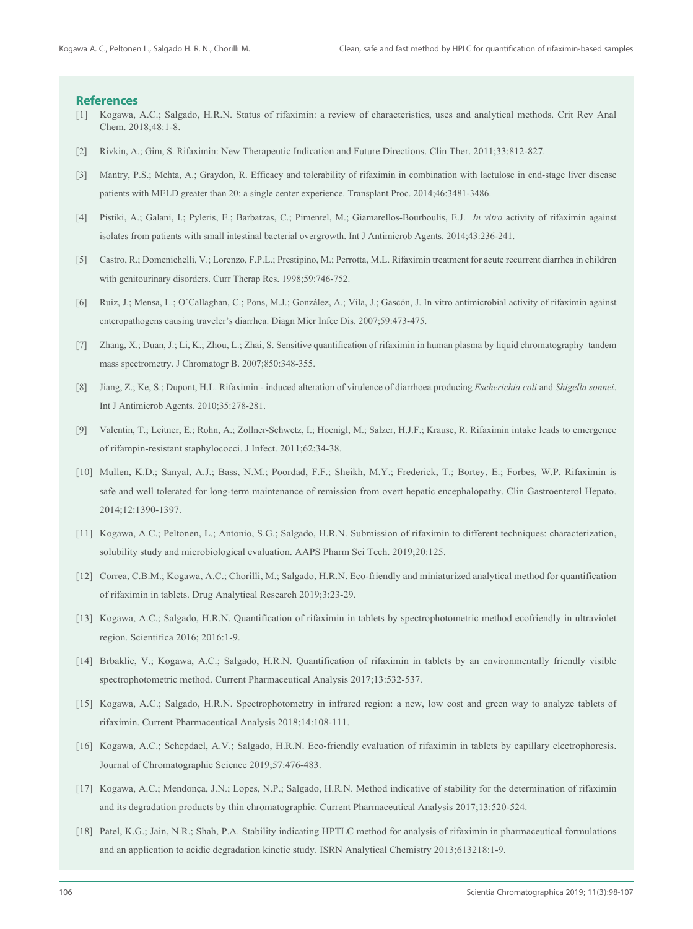#### **References**

- [1] Kogawa, A.C.; Salgado, H.R.N. Status of rifaximin: a review of characteristics, uses and analytical methods. Crit Rev Anal Chem. 2018;48:1-8.
- [2] Rivkin, A.; Gim, S. Rifaximin: New Therapeutic Indication and Future Directions. Clin Ther. 2011;33:812-827.
- [3] Mantry, P.S.; Mehta, A.; Graydon, R. Efficacy and tolerability of rifaximin in combination with lactulose in end-stage liver disease patients with MELD greater than 20: a single center experience. Transplant Proc. 2014;46:3481-3486.
- [4] Pistiki, A.; Galani, I.; Pyleris, E.; Barbatzas, C.; Pimentel, M.; Giamarellos-Bourboulis, E.J. *In vitro* activity of rifaximin against isolates from patients with small intestinal bacterial overgrowth. Int J Antimicrob Agents. 2014;43:236-241.
- [5] Castro, R.; Domenichelli, V.; Lorenzo, F.P.L.; Prestipino, M.; Perrotta, M.L. Rifaximin treatment for acute recurrent diarrhea in children with genitourinary disorders. Curr Therap Res. 1998;59:746-752.
- [6] Ruiz, J.; Mensa, L.; O´Callaghan, C.; Pons, M.J.; González, A.; Vila, J.; Gascón, J. In vitro antimicrobial activity of rifaximin against enteropathogens causing traveler's diarrhea. Diagn Micr Infec Dis. 2007;59:473-475.
- [7] Zhang, X.; Duan, J.; Li, K.; Zhou, L.; Zhai, S. Sensitive quantification of rifaximin in human plasma by liquid chromatography–tandem mass spectrometry. J Chromatogr B. 2007;850:348-355.
- [8] Jiang, Z.; Ke, S.; Dupont, H.L. Rifaximin induced alteration of virulence of diarrhoea producing *Escherichia coli* and *Shigella sonnei*. Int J Antimicrob Agents. 2010;35:278-281.
- [9] Valentin, T.; Leitner, E.; Rohn, A.; Zollner-Schwetz, I.; Hoenigl, M.; Salzer, H.J.F.; Krause, R. Rifaximin intake leads to emergence of rifampin-resistant staphylococci. J Infect. 2011;62:34-38.
- [10] Mullen, K.D.; Sanyal, A.J.; Bass, N.M.; Poordad, F.F.; Sheikh, M.Y.; Frederick, T.; Bortey, E.; Forbes, W.P. Rifaximin is safe and well tolerated for long-term maintenance of remission from overt hepatic encephalopathy. Clin Gastroenterol Hepato. 2014;12:1390-1397.
- [11] Kogawa, A.C.; Peltonen, L.; Antonio, S.G.; Salgado, H.R.N. Submission of rifaximin to different techniques: characterization, solubility study and microbiological evaluation. AAPS Pharm Sci Tech. 2019;20:125.
- [12] Correa, C.B.M.; Kogawa, A.C.; Chorilli, M.; Salgado, H.R.N. Eco-friendly and miniaturized analytical method for quantification of rifaximin in tablets. Drug Analytical Research 2019;3:23-29.
- [13] Kogawa, A.C.; Salgado, H.R.N. Quantification of rifaximin in tablets by spectrophotometric method ecofriendly in ultraviolet region. Scientifica 2016; 2016:1-9.
- [14] Brbaklic, V.; Kogawa, A.C.; Salgado, H.R.N. Quantification of rifaximin in tablets by an environmentally friendly visible spectrophotometric method. Current Pharmaceutical Analysis 2017;13:532-537.
- [15] Kogawa, A.C.; Salgado, H.R.N. Spectrophotometry in infrared region: a new, low cost and green way to analyze tablets of rifaximin. Current Pharmaceutical Analysis 2018;14:108-111.
- [16] Kogawa, A.C.; Schepdael, A.V.; Salgado, H.R.N. Eco-friendly evaluation of rifaximin in tablets by capillary electrophoresis. Journal of Chromatographic Science 2019;57:476-483.
- [17] Kogawa, A.C.; Mendonça, J.N.; Lopes, N.P.; Salgado, H.R.N. Method indicative of stability for the determination of rifaximin and its degradation products by thin chromatographic. Current Pharmaceutical Analysis 2017;13:520-524.
- [18] Patel, K.G.; Jain, N.R.; Shah, P.A. Stability indicating HPTLC method for analysis of rifaximin in pharmaceutical formulations and an application to acidic degradation kinetic study. ISRN Analytical Chemistry 2013;613218:1-9.